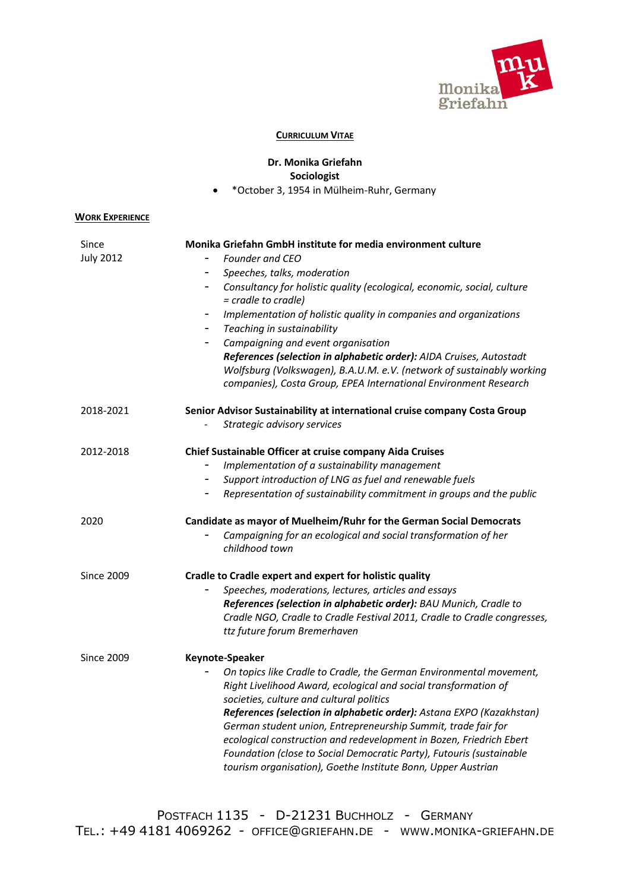

## **CURRICULUM VITAE**

## **Dr. Monika Griefahn Sociologist**

• \*October 3, 1954 in Mülheim-Ruhr, Germany

## **WORK EXPERIENCE**

| Since             | Monika Griefahn GmbH institute for media environment culture                                                                         |
|-------------------|--------------------------------------------------------------------------------------------------------------------------------------|
| <b>July 2012</b>  | <b>Founder and CEO</b>                                                                                                               |
|                   | Speeches, talks, moderation<br>$\overline{\phantom{0}}$                                                                              |
|                   | Consultancy for holistic quality (ecological, economic, social, culture<br>$\overline{\phantom{a}}$<br>= cradle to cradle)           |
|                   | Implementation of holistic quality in companies and organizations<br>$\overline{\phantom{a}}$                                        |
|                   | Teaching in sustainability<br>$\qquad \qquad -$                                                                                      |
|                   | Campaigning and event organisation<br>-                                                                                              |
|                   | References (selection in alphabetic order): AIDA Cruises, Autostadt                                                                  |
|                   | Wolfsburg (Volkswagen), B.A.U.M. e.V. (network of sustainably working                                                                |
|                   | companies), Costa Group, EPEA International Environment Research                                                                     |
| 2018-2021         | Senior Advisor Sustainability at international cruise company Costa Group                                                            |
|                   | Strategic advisory services                                                                                                          |
| 2012-2018         | Chief Sustainable Officer at cruise company Aida Cruises                                                                             |
|                   | Implementation of a sustainability management<br>$\qquad \qquad \blacksquare$                                                        |
|                   | Support introduction of LNG as fuel and renewable fuels<br>$\overline{\phantom{a}}$                                                  |
|                   | Representation of sustainability commitment in groups and the public                                                                 |
| 2020              | Candidate as mayor of Muelheim/Ruhr for the German Social Democrats                                                                  |
|                   | Campaigning for an ecological and social transformation of her<br>childhood town                                                     |
| <b>Since 2009</b> | Cradle to Cradle expert and expert for holistic quality                                                                              |
|                   | Speeches, moderations, lectures, articles and essays                                                                                 |
|                   | References (selection in alphabetic order): BAU Munich, Cradle to                                                                    |
|                   | Cradle NGO, Cradle to Cradle Festival 2011, Cradle to Cradle congresses,                                                             |
|                   | ttz future forum Bremerhaven                                                                                                         |
| <b>Since 2009</b> | Keynote-Speaker                                                                                                                      |
|                   | On topics like Cradle to Cradle, the German Environmental movement,                                                                  |
|                   |                                                                                                                                      |
|                   | Right Livelihood Award, ecological and social transformation of                                                                      |
|                   | societies, culture and cultural politics                                                                                             |
|                   | References (selection in alphabetic order): Astana EXPO (Kazakhstan)                                                                 |
|                   | German student union, Entrepreneurship Summit, trade fair for                                                                        |
|                   | ecological construction and redevelopment in Bozen, Friedrich Ebert                                                                  |
|                   | Foundation (close to Social Democratic Party), Futouris (sustainable<br>tourism organisation), Goethe Institute Bonn, Upper Austrian |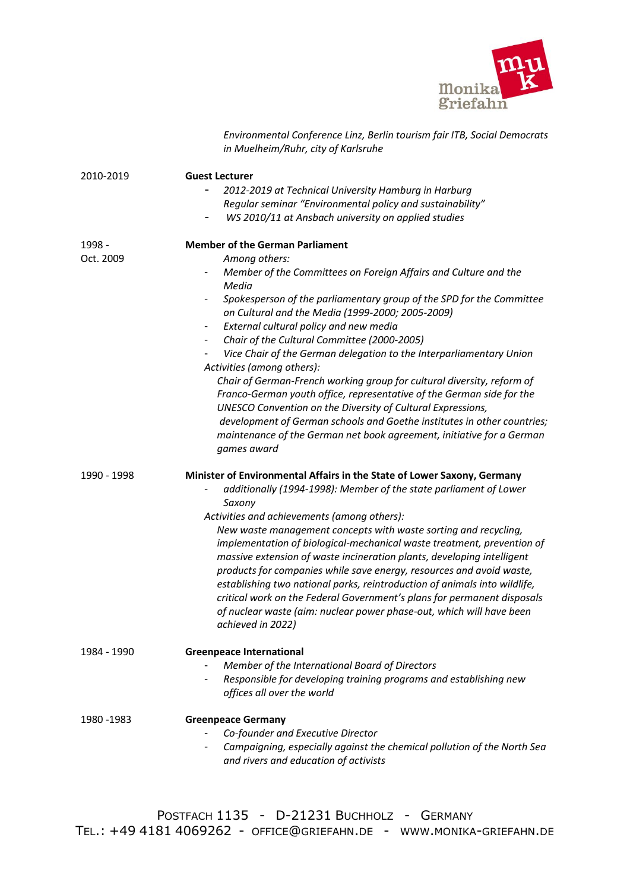

|                     | Environmental Conference Linz, Berlin tourism fair ITB, Social Democrats<br>in Muelheim/Ruhr, city of Karlsruhe                                                                                                                                                                                                                                                                                                                                                                                                                                                                                                                                                                                                                                                                                                                                                                |
|---------------------|--------------------------------------------------------------------------------------------------------------------------------------------------------------------------------------------------------------------------------------------------------------------------------------------------------------------------------------------------------------------------------------------------------------------------------------------------------------------------------------------------------------------------------------------------------------------------------------------------------------------------------------------------------------------------------------------------------------------------------------------------------------------------------------------------------------------------------------------------------------------------------|
| 2010-2019           | <b>Guest Lecturer</b><br>2012-2019 at Technical University Hamburg in Harburg<br>Regular seminar "Environmental policy and sustainability"<br>WS 2010/11 at Ansbach university on applied studies                                                                                                                                                                                                                                                                                                                                                                                                                                                                                                                                                                                                                                                                              |
| 1998 -<br>Oct. 2009 | <b>Member of the German Parliament</b><br>Among others:<br>Member of the Committees on Foreign Affairs and Culture and the<br>Media<br>Spokesperson of the parliamentary group of the SPD for the Committee<br>on Cultural and the Media (1999-2000; 2005-2009)<br>External cultural policy and new media<br>$\overline{\phantom{a}}$<br>Chair of the Cultural Committee (2000-2005)<br>Vice Chair of the German delegation to the Interparliamentary Union<br>Activities (among others):<br>Chair of German-French working group for cultural diversity, reform of<br>Franco-German youth office, representative of the German side for the<br>UNESCO Convention on the Diversity of Cultural Expressions,<br>development of German schools and Goethe institutes in other countries;<br>maintenance of the German net book agreement, initiative for a German<br>games award |
| 1990 - 1998         | Minister of Environmental Affairs in the State of Lower Saxony, Germany<br>additionally (1994-1998): Member of the state parliament of Lower<br>Saxony<br>Activities and achievements (among others):<br>New waste management concepts with waste sorting and recycling,<br>implementation of biological-mechanical waste treatment, prevention of<br>massive extension of waste incineration plants, developing intelligent<br>products for companies while save energy, resources and avoid waste,<br>establishing two national parks, reintroduction of animals into wildlife,<br>critical work on the Federal Government's plans for permanent disposals<br>of nuclear waste (aim: nuclear power phase-out, which will have been<br>achieved in 2022)                                                                                                                      |
| 1984 - 1990         | <b>Greenpeace International</b><br>Member of the International Board of Directors<br>Responsible for developing training programs and establishing new<br>offices all over the world                                                                                                                                                                                                                                                                                                                                                                                                                                                                                                                                                                                                                                                                                           |
| 1980 - 1983         | <b>Greenpeace Germany</b><br>Co-founder and Executive Director<br>Campaigning, especially against the chemical pollution of the North Sea<br>and rivers and education of activists                                                                                                                                                                                                                                                                                                                                                                                                                                                                                                                                                                                                                                                                                             |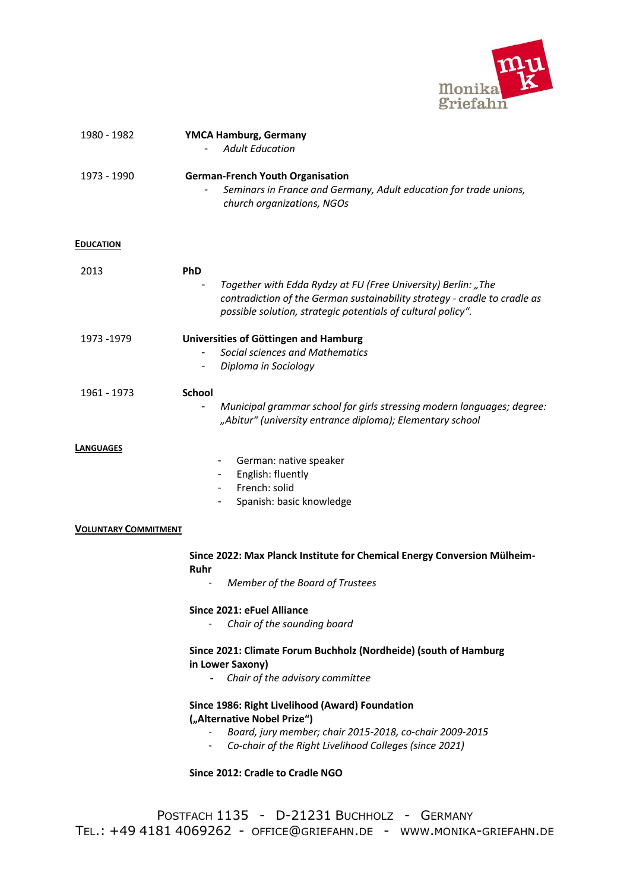

| 1980 - 1982                                     | <b>YMCA Hamburg, Germany</b><br><b>Adult Education</b>                                                                                                                                                                                         |
|-------------------------------------------------|------------------------------------------------------------------------------------------------------------------------------------------------------------------------------------------------------------------------------------------------|
| 1973 - 1990                                     | <b>German-French Youth Organisation</b><br>Seminars in France and Germany, Adult education for trade unions,<br>church organizations, NGOs                                                                                                     |
| <b>EDUCATION</b>                                |                                                                                                                                                                                                                                                |
| 2013                                            | <b>PhD</b><br>Together with Edda Rydzy at FU (Free University) Berlin: "The<br>contradiction of the German sustainability strategy - cradle to cradle as<br>possible solution, strategic potentials of cultural policy".                       |
| 1973 -1979                                      | Universities of Göttingen and Hamburg<br>Social sciences and Mathematics<br>Diploma in Sociology                                                                                                                                               |
| 1961 - 1973                                     | <b>School</b><br>Municipal grammar school for girls stressing modern languages; degree:<br>$\overline{\phantom{0}}$<br>"Abitur" (university entrance diploma); Elementary school                                                               |
| <b>LANGUAGES</b><br><b>VOLUNTARY COMMITMENT</b> | German: native speaker<br>English: fluently<br>French: solid<br>Spanish: basic knowledge                                                                                                                                                       |
|                                                 | Since 2022: Max Planck Institute for Chemical Energy Conversion Mülheim-<br>Ruhr<br>Member of the Board of Trustees                                                                                                                            |
|                                                 | Since 2021: eFuel Alliance<br>Chair of the sounding board                                                                                                                                                                                      |
|                                                 | Since 2021: Climate Forum Buchholz (Nordheide) (south of Hamburg<br>in Lower Saxony)<br>Chair of the advisory committee<br>$\sim$                                                                                                              |
|                                                 | Since 1986: Right Livelihood (Award) Foundation<br>("Alternative Nobel Prize")<br>Board, jury member; chair 2015-2018, co-chair 2009-2015<br>Co-chair of the Right Livelihood Colleges (since 2021)<br>- 1<br>Since 2012: Cradle to Cradle NGO |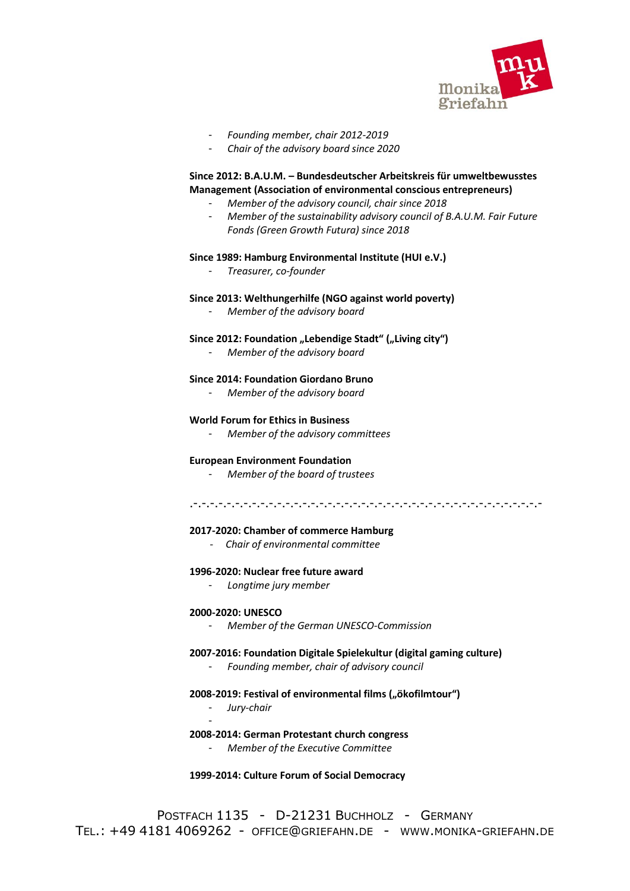

- *Founding member, chair 2012-2019*
- *Chair of the advisory board since 2020*

## **Since 2012: B.A.U.M. – Bundesdeutscher Arbeitskreis für umweltbewusstes Management (Association of environmental conscious entrepreneurs)**

- *Member of the advisory council, chair since 2018*
- *Member of the sustainability advisory council of B.A.U.M. Fair Future Fonds (Green Growth Futura) since 2018*

## **Since 1989: Hamburg Environmental Institute (HUI e.V.)**

- *Treasurer, co-founder* 

## **Since 2013: Welthungerhilfe (NGO against world poverty)**

- *Member of the advisory board*

## Since 2012: Foundation "Lebendige Stadt" ("Living city")

- *Member of the advisory board* 

#### **Since 2014: Foundation Giordano Bruno**

- *Member of the advisory board*

#### **World Forum for Ethics in Business**

- *Member of the advisory committees*

#### **European Environment Foundation**

- *Member of the board of trustees*

#### .-.-.-.-.-.-.-.-.-.-.-.-.-.-.-.-.-.-.-.-.-.-.-.-.-.-.-.-.-.-.-.-.-.-.-.-.-.-.-.-.-.-

#### **2017-2020: Chamber of commerce Hamburg**

*- Chair of environmental committee* 

#### **1996-2020: Nuclear free future award**

- *Longtime jury member*

#### **2000-2020: UNESCO**

- *Member of the German UNESCO-Commission* 

#### **2007-2016: Foundation Digitale Spielekultur (digital gaming culture)**

- *Founding member, chair of advisory council* 

#### 2008-2019: Festival of environmental films ("ökofilmtour")

- *Jury-chair*  -

#### **2008-2014: German Protestant church congress**

- *Member of the Executive Committee* 

## **1999-2014: Culture Forum of Social Democracy**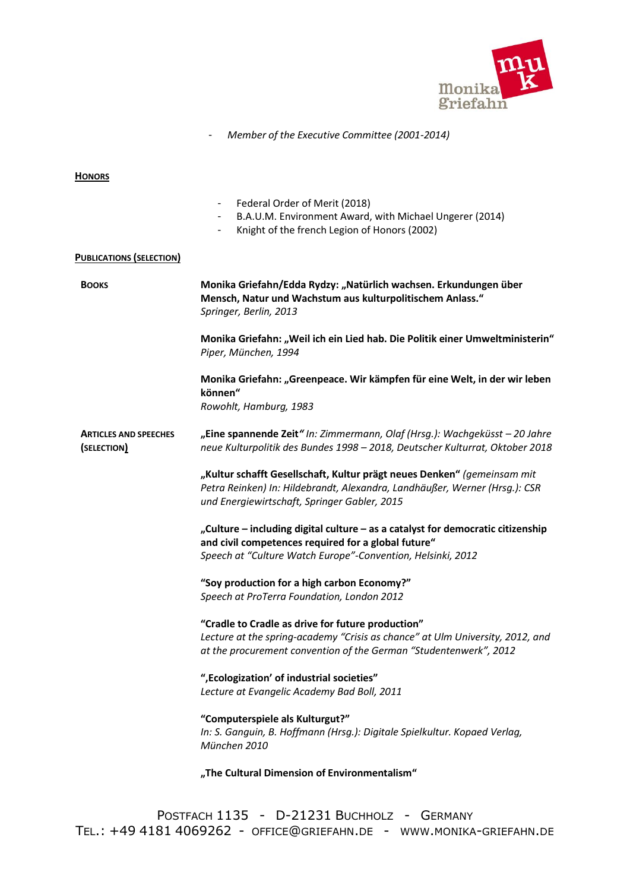

## - *Member of the Executive Committee (2001-2014)*

**HONORS**

|                                             | Federal Order of Merit (2018)<br>B.A.U.M. Environment Award, with Michael Ungerer (2014)<br>$\overline{\phantom{a}}$<br>Knight of the french Legion of Honors (2002)<br>-                               |
|---------------------------------------------|---------------------------------------------------------------------------------------------------------------------------------------------------------------------------------------------------------|
| <b>PUBLICATIONS (SELECTION)</b>             |                                                                                                                                                                                                         |
| <b>BOOKS</b>                                | Monika Griefahn/Edda Rydzy: "Natürlich wachsen. Erkundungen über<br>Mensch, Natur und Wachstum aus kulturpolitischem Anlass."<br>Springer, Berlin, 2013                                                 |
|                                             | Monika Griefahn: "Weil ich ein Lied hab. Die Politik einer Umweltministerin"<br>Piper, München, 1994                                                                                                    |
|                                             | Monika Griefahn: "Greenpeace. Wir kämpfen für eine Welt, in der wir leben<br>können"<br>Rowohlt, Hamburg, 1983                                                                                          |
| <b>ARTICLES AND SPEECHES</b><br>(SELECTION) | "Eine spannende Zeit" In: Zimmermann, Olaf (Hrsg.): Wachgeküsst - 20 Jahre<br>neue Kulturpolitik des Bundes 1998 - 2018, Deutscher Kulturrat, Oktober 2018                                              |
|                                             | "Kultur schafft Gesellschaft, Kultur prägt neues Denken" (gemeinsam mit<br>Petra Reinken) In: Hildebrandt, Alexandra, Landhäußer, Werner (Hrsg.): CSR<br>und Energiewirtschaft, Springer Gabler, 2015   |
|                                             | "Culture - including digital culture - as a catalyst for democratic citizenship<br>and civil competences required for a global future"<br>Speech at "Culture Watch Europe"-Convention, Helsinki, 2012   |
|                                             | "Soy production for a high carbon Economy?"<br>Speech at ProTerra Foundation, London 2012                                                                                                               |
|                                             | "Cradle to Cradle as drive for future production"<br>Lecture at the spring-academy "Crisis as chance" at Ulm University, 2012, and<br>at the procurement convention of the German "Studentenwerk", 2012 |
|                                             | ", Ecologization' of industrial societies"<br>Lecture at Evangelic Academy Bad Boll, 2011                                                                                                               |
|                                             | "Computerspiele als Kulturgut?"<br>In: S. Ganguin, B. Hoffmann (Hrsg.): Digitale Spielkultur. Kopaed Verlag,<br>München 2010                                                                            |
|                                             | "The Cultural Dimension of Environmentalism"                                                                                                                                                            |